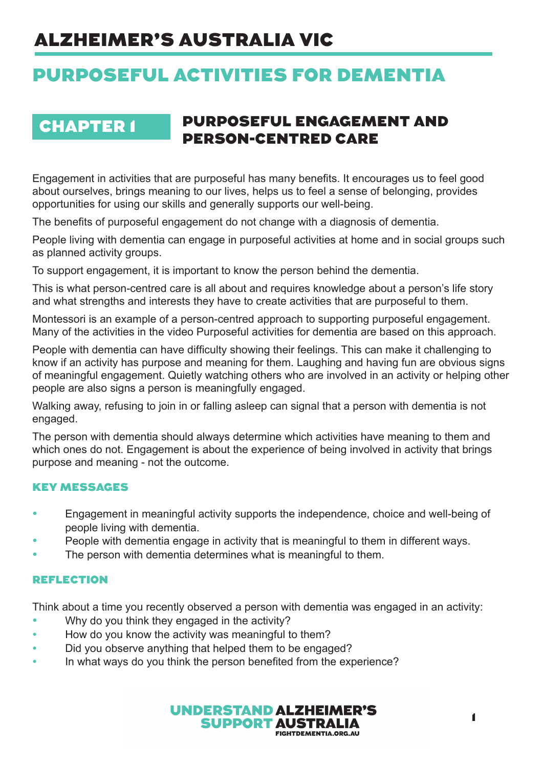# ALZHEIMER'S AUSTRALIA VIC

# PURPOSEFUL ACTIVITIES FOR DEMENTIA

## CHAPTER 1 PURPOSEFUL ENGAGEMENT AND PERSON-CENTRED CARE

Engagement in activities that are purposeful has many benefits. It encourages us to feel good about ourselves, brings meaning to our lives, helps us to feel a sense of belonging, provides opportunities for using our skills and generally supports our well-being.

The benefits of purposeful engagement do not change with a diagnosis of dementia.

People living with dementia can engage in purposeful activities at home and in social groups such as planned activity groups.

To support engagement, it is important to know the person behind the dementia.

This is what person-centred care is all about and requires knowledge about a person's life story and what strengths and interests they have to create activities that are purposeful to them.

Montessori is an example of a person-centred approach to supporting purposeful engagement. Many of the activities in the video Purposeful activities for dementia are based on this approach.

People with dementia can have difficulty showing their feelings. This can make it challenging to know if an activity has purpose and meaning for them. Laughing and having fun are obvious signs of meaningful engagement. Quietly watching others who are involved in an activity or helping other people are also signs a person is meaningfully engaged.

Walking away, refusing to join in or falling asleep can signal that a person with dementia is not engaged.

The person with dementia should always determine which activities have meaning to them and which ones do not. Engagement is about the experience of being involved in activity that brings purpose and meaning - not the outcome.

### KEY MESSAGES

- Engagement in meaningful activity supports the independence, choice and well-being of people living with dementia.
- People with dementia engage in activity that is meaningful to them in different ways.
- The person with dementia determines what is meaningful to them.

### REFLECTION

Think about a time you recently observed a person with dementia was engaged in an activity:

- Why do you think they engaged in the activity?
- How do you know the activity was meaningful to them?
- Did you observe anything that helped them to be engaged?
- In what ways do you think the person benefited from the experience?

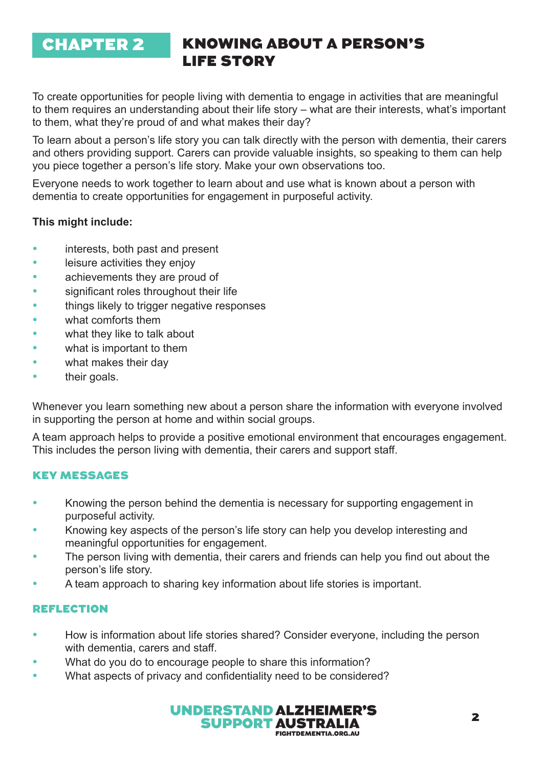## CHAPTER 2

## KNOWING ABOUT A PERSON'S LIFE STORY

To create opportunities for people living with dementia to engage in activities that are meaningful to them requires an understanding about their life story – what are their interests, what's important to them, what they're proud of and what makes their day?

To learn about a person's life story you can talk directly with the person with dementia, their carers and others providing support. Carers can provide valuable insights, so speaking to them can help you piece together a person's life story. Make your own observations too.

Everyone needs to work together to learn about and use what is known about a person with dementia to create opportunities for engagement in purposeful activity.

### **This might include:**

- interests, both past and present
- leisure activities they enjoy
- achievements they are proud of
- significant roles throughout their life
- things likely to trigger negative responses
- what comforts them
- what they like to talk about
- what is important to them
- what makes their day
- their goals.

Whenever you learn something new about a person share the information with everyone involved in supporting the person at home and within social groups.

A team approach helps to provide a positive emotional environment that encourages engagement. This includes the person living with dementia, their carers and support staff.

#### KEY MESSAGES

- Knowing the person behind the dementia is necessary for supporting engagement in purposeful activity.
- Knowing key aspects of the person's life story can help you develop interesting and meaningful opportunities for engagement.
- The person living with dementia, their carers and friends can help you find out about the person's life story.
- A team approach to sharing key information about life stories is important.

- How is information about life stories shared? Consider everyone, including the person with dementia, carers and staff.
- What do you do to encourage people to share this information?
- What aspects of privacy and confidentiality need to be considered?

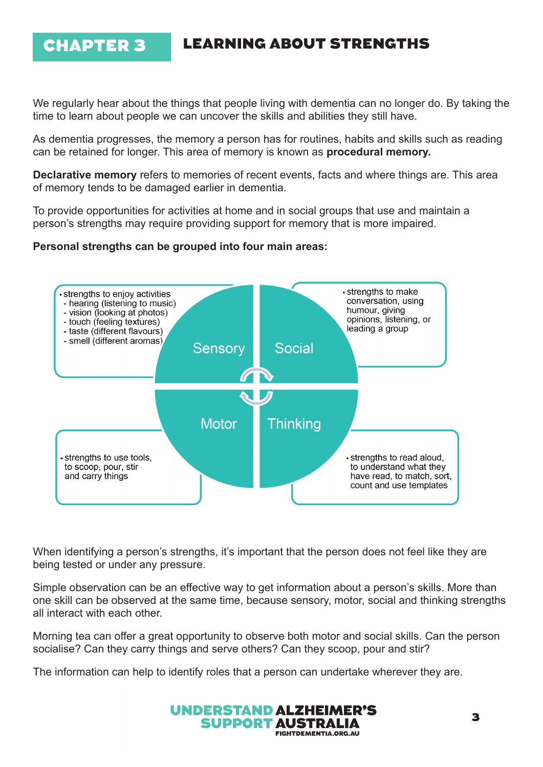## CHAPTER 3 LEARNING ABOUT STRENGTHS

We regularly hear about the things that people living with dementia can no longer do. By taking the time to learn about people we can uncover the skills and abilities they still have.

As dementia progresses, the memory a person has for routines, habits and skills such as reading can be retained for longer. This area of memory is known as **procedural memory.** 

**Declarative memory** refers to memories of recent events, facts and where things are. This area of memory tends to be damaged earlier in dementia.

To provide opportunities for activities at home and in social groups that use and maintain a person's strengths may require providing support for memory that is more impaired.

#### **Personal strengths can be grouped into four main areas:**



When identifying a person's strengths, it's important that the person does not feel like they are being tested or under any pressure.

Simple observation can be an effective way to get information about a person's skills. More than one skill can be observed at the same time, because sensory, motor, social and thinking strengths all interact with each other.

Morning tea can offer a great opportunity to observe both motor and social skills. Can the person socialise? Can they carry things and serve others? Can they scoop, pour and stir?

The information can help to identify roles that a person can undertake wherever they are.

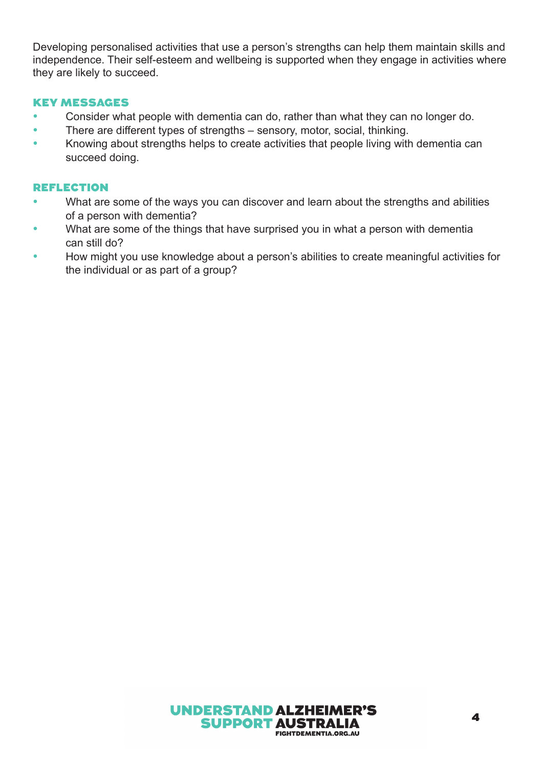Developing personalised activities that use a person's strengths can help them maintain skills and independence. Their self-esteem and wellbeing is supported when they engage in activities where they are likely to succeed.

#### KEY MESSAGES

- Consider what people with dementia can do, rather than what they can no longer do.
- There are different types of strengths sensory, motor, social, thinking.
- Knowing about strengths helps to create activities that people living with dementia can succeed doing.

- What are some of the ways you can discover and learn about the strengths and abilities of a person with dementia?
- What are some of the things that have surprised you in what a person with dementia can still do?
- How might you use knowledge about a person's abilities to create meaningful activities for the individual or as part of a group?

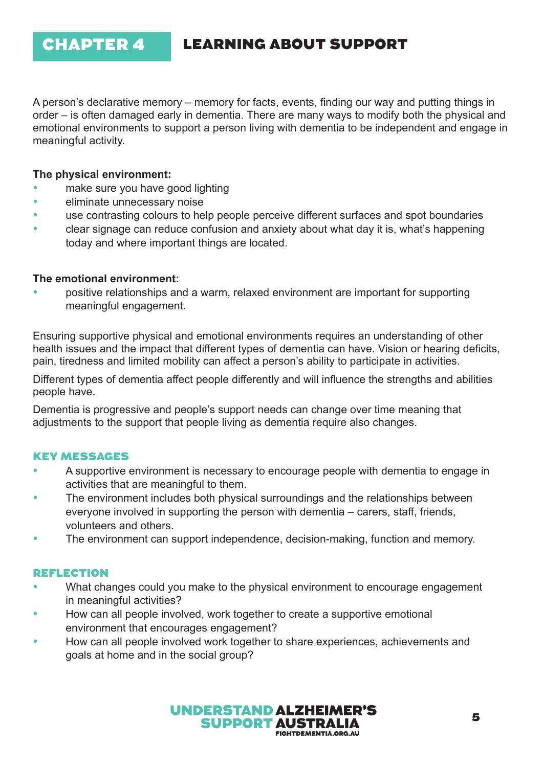## CHAPTER 4 LEARNING ABOUT SUPPORT

A person's declarative memory – memory for facts, events, finding our way and putting things in order – is often damaged early in dementia. There are many ways to modify both the physical and emotional environments to support a person living with dementia to be independent and engage in meaningful activity.

#### **The physical environment:**

- make sure you have good lighting
- eliminate unnecessary noise
- use contrasting colours to help people perceive different surfaces and spot boundaries
- clear signage can reduce confusion and anxiety about what day it is, what's happening today and where important things are located.

#### **The emotional environment:**

• positive relationships and a warm, relaxed environment are important for supporting meaningful engagement.

Ensuring supportive physical and emotional environments requires an understanding of other health issues and the impact that different types of dementia can have. Vision or hearing deficits, pain, tiredness and limited mobility can affect a person's ability to participate in activities.

Different types of dementia affect people differently and will influence the strengths and abilities people have.

Dementia is progressive and people's support needs can change over time meaning that adjustments to the support that people living as dementia require also changes.

### KEY MESSAGES

- A supportive environment is necessary to encourage people with dementia to engage in activities that are meaningful to them.
- The environment includes both physical surroundings and the relationships between everyone involved in supporting the person with dementia – carers, staff, friends, volunteers and others.
- The environment can support independence, decision-making, function and memory.

- What changes could you make to the physical environment to encourage engagement in meaningful activities?
- How can all people involved, work together to create a supportive emotional environment that encourages engagement?
- How can all people involved work together to share experiences, achievements and goals at home and in the social group?

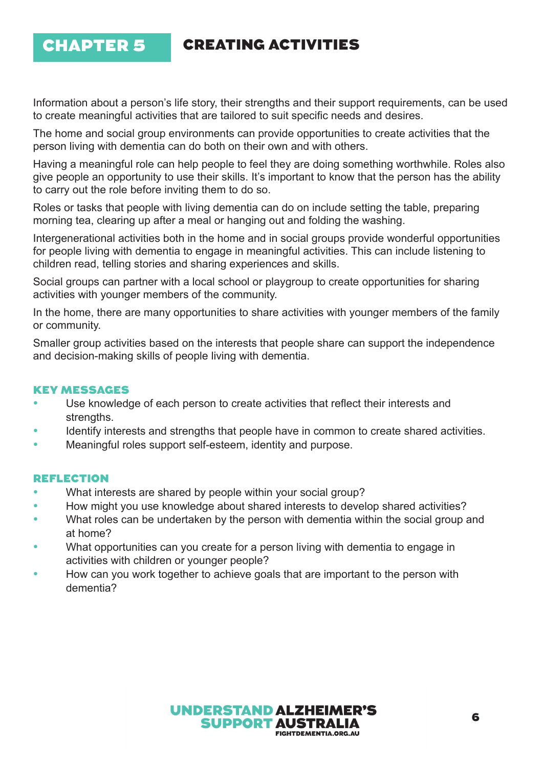## CHAPTER 5 CREATING ACTIVITIES

Information about a person's life story, their strengths and their support requirements, can be used to create meaningful activities that are tailored to suit specific needs and desires.

The home and social group environments can provide opportunities to create activities that the person living with dementia can do both on their own and with others.

Having a meaningful role can help people to feel they are doing something worthwhile. Roles also give people an opportunity to use their skills. It's important to know that the person has the ability to carry out the role before inviting them to do so.

Roles or tasks that people with living dementia can do on include setting the table, preparing morning tea, clearing up after a meal or hanging out and folding the washing.

Intergenerational activities both in the home and in social groups provide wonderful opportunities for people living with dementia to engage in meaningful activities. This can include listening to children read, telling stories and sharing experiences and skills.

Social groups can partner with a local school or playgroup to create opportunities for sharing activities with younger members of the community.

In the home, there are many opportunities to share activities with younger members of the family or community.

Smaller group activities based on the interests that people share can support the independence and decision-making skills of people living with dementia.

### KEY MESSAGES

- Use knowledge of each person to create activities that reflect their interests and strengths.
- Identify interests and strengths that people have in common to create shared activities.
- Meaningful roles support self-esteem, identity and purpose.

- What interests are shared by people within your social group?
- How might you use knowledge about shared interests to develop shared activities?
- What roles can be undertaken by the person with dementia within the social group and at home?
- What opportunities can you create for a person living with dementia to engage in activities with children or younger people?
- How can you work together to achieve goals that are important to the person with dementia?

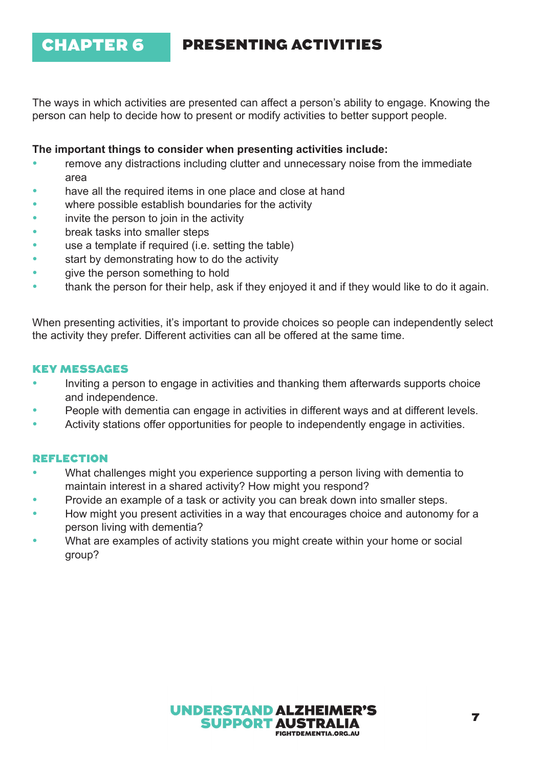## CHAPTER 6 PRESENTING ACTIVITIES

The ways in which activities are presented can affect a person's ability to engage. Knowing the person can help to decide how to present or modify activities to better support people.

#### **The important things to consider when presenting activities include:**

- remove any distractions including clutter and unnecessary noise from the immediate area
- have all the required items in one place and close at hand
- where possible establish boundaries for the activity
- invite the person to join in the activity
- break tasks into smaller steps
- use a template if required (i.e. setting the table)
- start by demonstrating how to do the activity
- give the person something to hold
- thank the person for their help, ask if they enjoyed it and if they would like to do it again.

When presenting activities, it's important to provide choices so people can independently select the activity they prefer. Different activities can all be offered at the same time.

#### KEY MESSAGES

- Inviting a person to engage in activities and thanking them afterwards supports choice and independence.
- People with dementia can engage in activities in different ways and at different levels.
- Activity stations offer opportunities for people to independently engage in activities.

- What challenges might you experience supporting a person living with dementia to maintain interest in a shared activity? How might you respond?
- Provide an example of a task or activity you can break down into smaller steps.
- How might you present activities in a way that encourages choice and autonomy for a person living with dementia?
- What are examples of activity stations you might create within your home or social group?